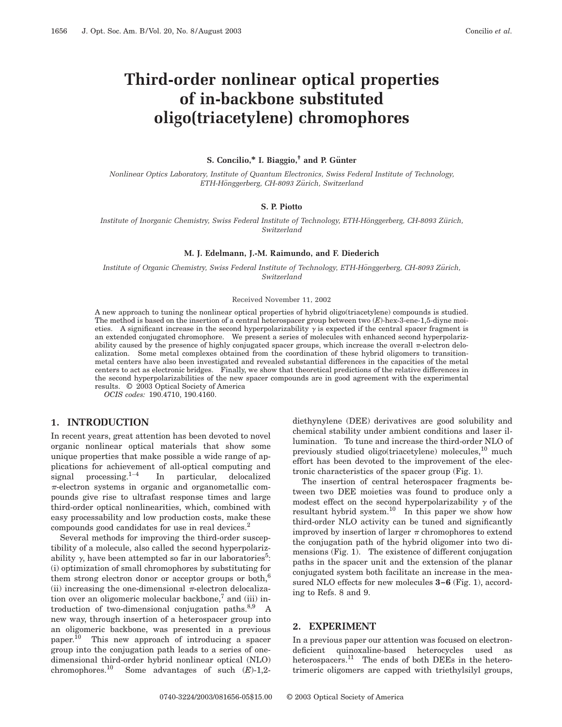# **Third-order nonlinear optical properties of in-backbone substituted oligo(triacetylene) chromophores**

#### **S.** Concilio,\* I. Biaggio,<sup>†</sup> and P. Günter

*Nonlinear Optics Laboratory, Institute of Quantum Electronics, Swiss Federal Institute of Technology, ETH-Ho¨nggerberg, CH-8093 Zu¨rich, Switzerland*

### **S. P. Piotto**

*Institute of Inorganic Chemistry, Swiss Federal Institute of Technology, ETH-Hönggerberg, CH-8093 Zürich, Switzerland*

#### **M. J. Edelmann, J.-M. Raimundo, and F. Diederich**

*Institute of Organic Chemistry, Swiss Federal Institute of Technology, ETH-Hönggerberg, CH-8093 Zürich, Switzerland*

#### Received November 11, 2002

A new approach to tuning the nonlinear optical properties of hybrid oligo(triacetylene) compounds is studied. The method is based on the insertion of a central heterospacer group between two (*E*)-hex-3-ene-1,5-diyne moieties. A significant increase in the second hyperpolarizability  $\gamma$  is expected if the central spacer fragment is an extended conjugated chromophore. We present a series of molecules with enhanced second hyperpolarizability caused by the presence of highly conjugated spacer groups, which increase the overall  $\pi$ -electron delocalization. Some metal complexes obtained from the coordination of these hybrid oligomers to transitionmetal centers have also been investigated and revealed substantial differences in the capacities of the metal centers to act as electronic bridges. Finally, we show that theoretical predictions of the relative differences in the second hyperpolarizabilities of the new spacer compounds are in good agreement with the experimental results. © 2003 Optical Society of America

*OCIS codes:* 190.4710, 190.4160.

#### **1. INTRODUCTION**

In recent years, great attention has been devoted to novel organic nonlinear optical materials that show some unique properties that make possible a wide range of applications for achievement of all-optical computing and signal processing. $1-4$  In particular, delocalized  $\pi$ -electron systems in organic and organometallic compounds give rise to ultrafast response times and large third-order optical nonlinearities, which, combined with easy processability and low production costs, make these compounds good candidates for use in real devices.<sup>2</sup>

Several methods for improving the third-order susceptibility of a molecule, also called the second hyperpolarizability  $\gamma$ , have been attempted so far in our laboratories<sup>5</sup>: (i) optimization of small chromophores by substituting for them strong electron donor or acceptor groups or both, $6$ (ii) increasing the one-dimensional  $\pi$ -electron delocalization over an oligomeric molecular backbone, $\alpha$  and (iii) introduction of two-dimensional conjugation paths. $8,9$  A new way, through insertion of a heterospacer group into an oligomeric backbone, was presented in a previous paper.<sup>10</sup> This new approach of introducing a spacer group into the conjugation path leads to a series of onedimensional third-order hybrid nonlinear optical (NLO) chromophores.10 Some advantages of such (*E*)-1,2diethynylene (DEE) derivatives are good solubility and chemical stability under ambient conditions and laser illumination. To tune and increase the third-order NLO of previously studied oligo(triacetylene) molecules, $^{10}$  much effort has been devoted to the improvement of the electronic characteristics of the spacer group (Fig. 1).

The insertion of central heterospacer fragments between two DEE moieties was found to produce only a modest effect on the second hyperpolarizability  $\gamma$  of the resultant hybrid system.<sup>10</sup> In this paper we show how third-order NLO activity can be tuned and significantly improved by insertion of larger  $\pi$  chromophores to extend the conjugation path of the hybrid oligomer into two dimensions (Fig. 1). The existence of different conjugation paths in the spacer unit and the extension of the planar conjugated system both facilitate an increase in the measured NLO effects for new molecules **3–6** (Fig. 1), according to Refs. 8 and 9.

#### **2. EXPERIMENT**

In a previous paper our attention was focused on electrondeficient quinoxaline-based heterocycles used as heterospacers.<sup>11</sup> The ends of both DEEs in the heterotrimeric oligomers are capped with triethylsilyl groups,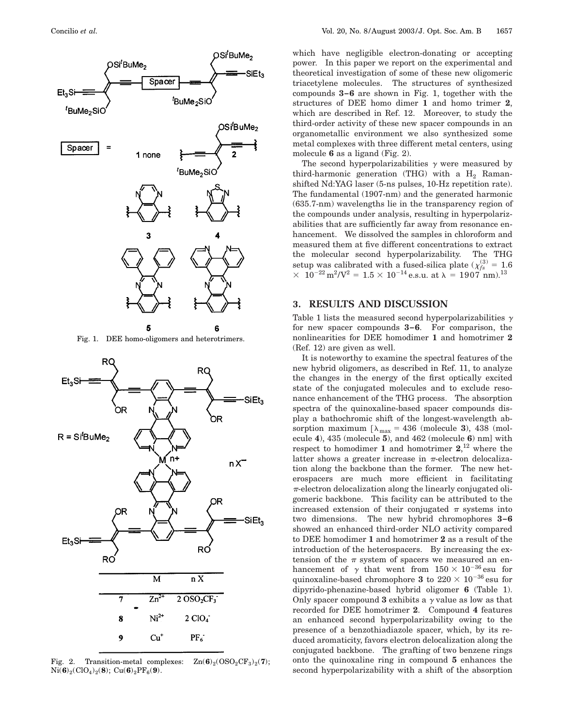

Fig. 1. DEE homo-oligomers and heterotrimers.



Fig. 2. Transition-metal complexes:  $\text{Zn}(6)_2(\text{OSO}_2\text{CF}_3)_2(7)$ ;  $Ni(6)_2(CIO_4)_2(8)$ ;  $Cu(6)_2PF_6(9)$ .

which have negligible electron-donating or accepting power. In this paper we report on the experimental and theoretical investigation of some of these new oligomeric triacetylene molecules. The structures of synthesized compounds **3–6** are shown in Fig. 1, together with the structures of DEE homo dimer **1** and homo trimer **2**, which are described in Ref. 12. Moreover, to study the third-order activity of these new spacer compounds in an organometallic environment we also synthesized some metal complexes with three different metal centers, using molecule **6** as a ligand (Fig. 2).

The second hyperpolarizabilities  $\gamma$  were measured by third-harmonic generation (THG) with a  $H_2$  Ramanshifted Nd:YAG laser (5-ns pulses, 10-Hz repetition rate). The fundamental (1907-nm) and the generated harmonic (635.7-nm) wavelengths lie in the transparency region of the compounds under analysis, resulting in hyperpolarizabilities that are sufficiently far away from resonance enhancement. We dissolved the samples in chloroform and measured them at five different concentrations to extract the molecular second hyperpolarizability. The THG setup was calibrated with a fused-silica plate ( $\chi^{(3)}_{fs} = 1.6$ )  $3 \times 10^{-22} \,\mathrm{m^2/V^2} = 1.5 \times 10^{-14} \,\mathrm{e.s.u.} \text{ at } \lambda = 1907 \,\mathrm{nm.}^{13}$ 

## **3. RESULTS AND DISCUSSION**

Table 1 lists the measured second hyperpolarizabilities  $\gamma$ for new spacer compounds **3–6**. For comparison, the nonlinearities for DEE homodimer **1** and homotrimer **2** (Ref. 12) are given as well.

It is noteworthy to examine the spectral features of the new hybrid oligomers, as described in Ref. 11, to analyze the changes in the energy of the first optically excited state of the conjugated molecules and to exclude resonance enhancement of the THG process. The absorption spectra of the quinoxaline-based spacer compounds display a bathochromic shift of the longest-wavelength absorption maximum  $[\lambda_{\text{max}} = 436 \text{ (molecule 3)}, 438 \text{ (mol-1)}]$ ecule **4**), 435 (molecule **5**), and 462 (molecule **6**) nm] with respect to homodimer **1** and homotrimer **2**, <sup>12</sup> where the latter shows a greater increase in  $\pi$ -electron delocalization along the backbone than the former. The new heterospacers are much more efficient in facilitating  $\pi$ -electron delocalization along the linearly conjugated oligomeric backbone. This facility can be attributed to the increased extension of their conjugated  $\pi$  systems into two dimensions. The new hybrid chromophores **3–6** showed an enhanced third-order NLO activity compared to DEE homodimer **1** and homotrimer **2** as a result of the introduction of the heterospacers. By increasing the extension of the  $\pi$  system of spacers we measured an enhancement of  $\gamma$  that went from  $150 \times 10^{-36}$  esu for quinoxaline-based chromophore **3** to  $220 \times 10^{-36}$  esu for dipyrido-phenazine-based hybrid oligomer **6** (Table 1). Only spacer compound **3** exhibits a  $\gamma$  value as low as that recorded for DEE homotrimer **2**. Compound **4** features an enhanced second hyperpolarizability owing to the presence of a benzothiadiazole spacer, which, by its reduced aromaticity, favors electron delocalization along the conjugated backbone. The grafting of two benzene rings onto the quinoxaline ring in compound **5** enhances the second hyperpolarizability with a shift of the absorption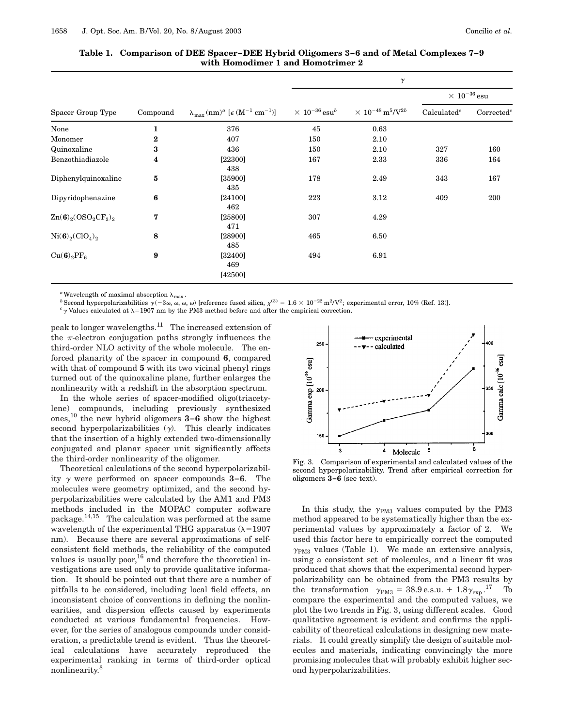|                                                 | Compound | $\lambda_{\text{max}} (\text{nm})^a$ [ $\epsilon$ (M <sup>-1</sup> cm <sup>-1</sup> )] |                                     |                                                    |                                   |                      |
|-------------------------------------------------|----------|----------------------------------------------------------------------------------------|-------------------------------------|----------------------------------------------------|-----------------------------------|----------------------|
| Spacer Group Type                               |          |                                                                                        | $\times~10^{-36}\,\mathrm{esu}^{b}$ | $\times\ 10^{-48}\,\textrm{m}^5\!/\textrm{V}^{2b}$ | $\times$ $10^{-36}\,\mathrm{esu}$ |                      |
|                                                 |          |                                                                                        |                                     |                                                    | Calculated <sup>c</sup>           | $\text{Corrected}^c$ |
| None                                            | 1        | 376                                                                                    | 45                                  | 0.63                                               |                                   |                      |
| Monomer                                         | $\bf{2}$ | 407                                                                                    | 150                                 | 2.10                                               |                                   |                      |
| Quinoxaline                                     | 3        | 436                                                                                    | 150                                 | 2.10                                               | 327                               | 160                  |
| Benzothiadiazole                                | 4        | [22300]<br>438                                                                         | 167                                 | 2.33                                               | 336                               | 164                  |
| Diphenylquinoxaline                             | 5        | [35900]<br>435                                                                         | 178                                 | 2.49                                               | 343                               | 167                  |
| Dipyridophenazine                               | 6        | [24100]<br>462                                                                         | 223                                 | 3.12                                               | 409                               | 200                  |
| $Zn(6)$ <sub>2</sub> $(OSO_2CF_3)$ <sub>2</sub> | 7        | [25800]<br>471                                                                         | 307                                 | 4.29                                               |                                   |                      |
| $Ni(6)_{2}(ClO_{4})_{2}$                        | 8        | [28900]<br>485                                                                         | 465                                 | 6.50                                               |                                   |                      |
| $Cu(6)2PF6$                                     | 9        | [32400]<br>469<br>[42500]                                                              | 494                                 | 6.91                                               |                                   |                      |

**Table 1. Comparison of DEE Spacer–DEE Hybrid Oligomers 3–6 and of Metal Complexes 7–9 with Homodimer 1 and Homotrimer 2**

 $^a$  Wavelength of maximal absorption  $\lambda_{\text{max}}$  .

<sup>b</sup> Second hyperpolarizabilities  $\gamma(-3\omega, \omega, \omega)$  (reference fused silica,  $\chi^{(3)} = 1.6 \times 10^{-22} \text{ m}^2/\text{V}^2$ ; experimental error, 10% (Ref. 13).<br><sup>c</sup> y Values calculated at  $\lambda = 1907$  nm by the PM3 method before and afte

peak to longer wavelengths.11 The increased extension of the  $\pi$ -electron conjugation paths strongly influences the third-order NLO activity of the whole molecule. The enforced planarity of the spacer in compound **6**, compared with that of compound **5** with its two vicinal phenyl rings turned out of the quinoxaline plane, further enlarges the nonlinearity with a redshift in the absorption spectrum.

In the whole series of spacer-modified oligo(triacetylene) compounds, including previously synthesized ones,10 the new hybrid oligomers **3–6** show the highest second hyperpolarizabilities  $(y)$ . This clearly indicates that the insertion of a highly extended two-dimensionally conjugated and planar spacer unit significantly affects the third-order nonlinearity of the oligomer.

Theoretical calculations of the second hyperpolarizability  $\gamma$  were performed on spacer compounds **3–6**. The molecules were geometry optimized, and the second hyperpolarizabilities were calculated by the AM1 and PM3 methods included in the MOPAC computer software package.14,15 The calculation was performed at the same wavelength of the experimental THG apparatus  $(\lambda=1907$ nm). Because there are several approximations of selfconsistent field methods, the reliability of the computed values is usually poor,  $16$  and therefore the theoretical investigations are used only to provide qualitative information. It should be pointed out that there are a number of pitfalls to be considered, including local field effects, an inconsistent choice of conventions in defining the nonlinearities, and dispersion effects caused by experiments conducted at various fundamental frequencies. However, for the series of analogous compounds under consideration, a predictable trend is evident. Thus the theoretical calculations have accurately reproduced the experimental ranking in terms of third-order optical nonlinearity.8



 $\gamma$ 

Fig. 3. Comparison of experimental and calculated values of the second hyperpolarizability. Trend after empirical correction for oligomers **3–6** (see text).

In this study, the  $\gamma_{\rm PM3}$  values computed by the PM3 method appeared to be systematically higher than the experimental values by approximately a factor of 2. We used this factor here to empirically correct the computed  $\gamma_{\rm PM3}$  values (Table 1). We made an extensive analysis, using a consistent set of molecules, and a linear fit was produced that shows that the experimental second hyperpolarizability can be obtained from the PM3 results by the transformation  $\gamma_{\rm PM3} = 38.9 \,\mathrm{e.s.u.} + 1.8 \gamma_{\rm exp}$ .<sup>17</sup> To compare the experimental and the computed values, we plot the two trends in Fig. 3, using different scales. Good qualitative agreement is evident and confirms the applicability of theoretical calculations in designing new materials. It could greatly simplify the design of suitable molecules and materials, indicating convincingly the more promising molecules that will probably exhibit higher second hyperpolarizabilities.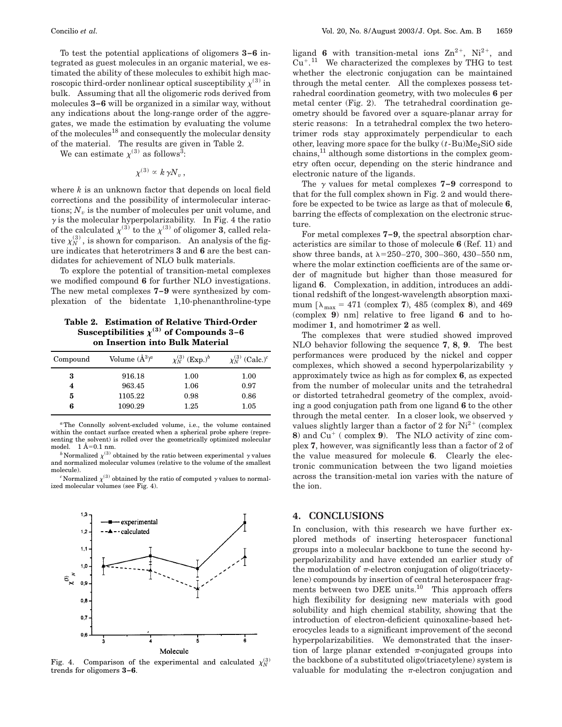To test the potential applications of oligomers **3–6** integrated as guest molecules in an organic material, we estimated the ability of these molecules to exhibit high macroscopic third-order nonlinear optical susceptibility  $\chi^{(3)}$  in bulk. Assuming that all the oligomeric rods derived from molecules **3–6** will be organized in a similar way, without any indications about the long-range order of the aggregates, we made the estimation by evaluating the volume of the molecules<sup>18</sup> and consequently the molecular density of the material. The results are given in Table 2.

We can estimate  $\chi^{(3)}$  as follows<sup>3</sup>:

$$
\chi^{(3)}\propto k\,\gamma N_v\,,
$$

where *k* is an unknown factor that depends on local field corrections and the possibility of intermolecular interactions;  $N_v$  is the number of molecules per unit volume, and  $\gamma$  is the molecular hyperpolarizability. In Fig. 4 the ratio of the calculated  $\chi^{(3)}$  to the  $\chi^{(3)}$  of oligomer **3**, called relative  $\chi_N^{(3)}$ , is shown for comparison. An analysis of the figure indicates that heterotrimers **3** and **6** are the best candidates for achievement of NLO bulk materials.

To explore the potential of transition-metal complexes we modified compound **6** for further NLO investigations. The new metal complexes **7–9** were synthesized by complexation of the bidentate 1,10-phenanthroline-type

**Table 2. Estimation of Relative Third-Order** Susceptibilities  $\chi^{(3)}$  of Compounds 3–6 **on Insertion into Bulk Material**

| Volume $(\AA^3)^a$ | $\chi_{N}^{(3)}$ (Exp.) <sup>b</sup> | $\chi_N^{(3)}$ (Calc.) <sup>c</sup> |
|--------------------|--------------------------------------|-------------------------------------|
| 916.18             | 1.00                                 | 1.00                                |
| 963.45             | 1.06                                 | 0.97                                |
| 1105.22            | 0.98                                 | 0.86                                |
| 1090.29            | 1.25                                 | 1.05                                |
|                    |                                      |                                     |

*<sup>a</sup>*The Connolly solvent-excluded volume, i.e., the volume contained within the contact surface created when a spherical probe sphere (representing the solvent) is rolled over the geometrically optimized molecular model.  $1 \text{ Å}=0.1 \text{ nm}$ .

*b* Normalized  $\chi^{(3)}$  obtained by the ratio between experimental  $\gamma$  values and normalized molecular volumes (relative to the volume of the smallest molecule).

<sup>*c*</sup> Normalized  $\chi^{(3)}$  obtained by the ratio of computed  $\gamma$  values to normalized molecular volumes (see Fig. 4).



Fig. 4. Comparison of the experimental and calculated  $\chi_N^{(3)}$ trends for oligomers **3–6**.

ligand **6** with transition-metal ions  $\text{Zn}^{2+}$ , Ni<sup>2+</sup>, and  $Cu^{+}$ .<sup>11</sup> We characterized the complexes by THG to test whether the electronic conjugation can be maintained through the metal center. All the complexes possess tetrahedral coordination geometry, with two molecules **6** per metal center (Fig. 2). The tetrahedral coordination geometry should be favored over a square-planar array for steric reasons: In a tetrahedral complex the two heterotrimer rods stay approximately perpendicular to each other, leaving more space for the bulky  $(t - Bu)Me<sub>2</sub>SiO$  side chains,11 although some distortions in the complex geometry often occur, depending on the steric hindrance and electronic nature of the ligands.

The  $\gamma$  values for metal complexes **7–9** correspond to that for the full complex shown in Fig. 2 and would therefore be expected to be twice as large as that of molecule **6**, barring the effects of complexation on the electronic structure.

For metal complexes **7–9**, the spectral absorption characteristics are similar to those of molecule **6** (Ref. 11) and show three bands, at  $\lambda$ =250–270, 300–360, 430–550 nm, where the molar extinction coefficients are of the same order of magnitude but higher than those measured for ligand **6**. Complexation, in addition, introduces an additional redshift of the longest-wavelength absorption maximum  $[\lambda_{\text{max}} = 471$  (complex **7**), 485 (complex **8**), and 469 (complex **9**) nm] relative to free ligand **6** and to homodimer **1**, and homotrimer **2** as well.

The complexes that were studied showed improved NLO behavior following the sequence **7**, **8**, **9**. The best performances were produced by the nickel and copper complexes, which showed a second hyperpolarizability  $\gamma$ approximately twice as high as for complex **6**, as expected from the number of molecular units and the tetrahedral or distorted tetrahedral geometry of the complex, avoiding a good conjugation path from one ligand **6** to the other through the metal center. In a closer look, we observed  $\gamma$ values slightly larger than a factor of 2 for  $Ni^{2+}$  (complex **8**) and  $Cu^+$  ( complex **9**). The NLO activity of zinc complex **7**, however, was significantly less than a factor of 2 of the value measured for molecule **6**. Clearly the electronic communication between the two ligand moieties across the transition-metal ion varies with the nature of the ion.

#### **4. CONCLUSIONS**

In conclusion, with this research we have further explored methods of inserting heterospacer functional groups into a molecular backbone to tune the second hyperpolarizability and have extended an earlier study of the modulation of  $\pi$ -electron conjugation of oligo(triacetylene) compounds by insertion of central heterospacer fragments between two DEE units.<sup>10</sup> This approach offers high flexibility for designing new materials with good solubility and high chemical stability, showing that the introduction of electron-deficient quinoxaline-based heterocycles leads to a significant improvement of the second hyperpolarizabilities. We demonstrated that the insertion of large planar extended  $\pi$ -conjugated groups into the backbone of a substituted oligo(triacetylene) system is valuable for modulating the  $\pi$ -electron conjugation and